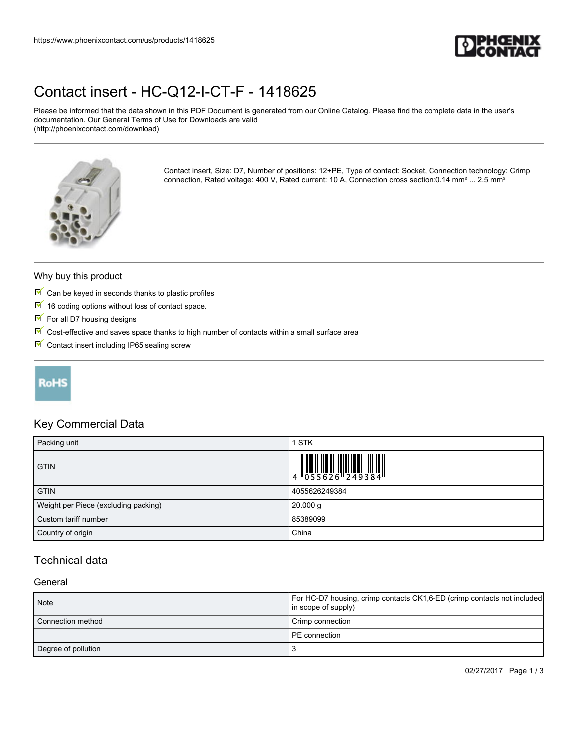

# [Contact insert - HC-Q12-I-CT-F - 1418625](https://www.phoenixcontact.com/us/products/1418625)

Please be informed that the data shown in this PDF Document is generated from our Online Catalog. Please find the complete data in the user's documentation. Our General Terms of Use for Downloads are valid (http://phoenixcontact.com/download)



Contact insert, Size: D7, Number of positions: 12+PE, Type of contact: Socket, Connection technology: Crimp connection, Rated voltage: 400 V, Rated current: 10 A, Connection cross section:0.14 mm<sup>2</sup> ... 2.5 mm<sup>2</sup>

#### Why buy this product

- $\blacksquare$  Can be keyed in seconds thanks to plastic profiles
- $16$  coding options without loss of contact space.
- $\blacksquare$  For all D7 housing designs
- $\mathbb I$  Cost-effective and saves space thanks to high number of contacts within a small surface area
- $\blacksquare$  Contact insert including IP65 sealing screw

## **RoHS**

### Key Commercial Data

| Packing unit                         | STK                                                                                                                                                                                                                                                                                                                            |
|--------------------------------------|--------------------------------------------------------------------------------------------------------------------------------------------------------------------------------------------------------------------------------------------------------------------------------------------------------------------------------|
| <b>GTIN</b>                          | $\begin{array}{c} 1 & 0 & 0 & 0 \\ 0 & 0 & 0 & 0 \\ 0 & 0 & 0 & 0 \\ 0 & 0 & 0 & 0 \\ 0 & 0 & 0 & 0 \\ 0 & 0 & 0 & 0 \\ 0 & 0 & 0 & 0 \\ 0 & 0 & 0 & 0 \\ 0 & 0 & 0 & 0 \\ 0 & 0 & 0 & 0 \\ 0 & 0 & 0 & 0 \\ 0 & 0 & 0 & 0 & 0 \\ 0 & 0 & 0 & 0 & 0 \\ 0 & 0 & 0 & 0 & 0 \\ 0 & 0 & 0 & 0 & 0 \\ 0 & 0 & 0 & 0 & 0 & 0 \\ 0 &$ |
| <b>GTIN</b>                          | 4055626249384                                                                                                                                                                                                                                                                                                                  |
| Weight per Piece (excluding packing) | $20.000$ g                                                                                                                                                                                                                                                                                                                     |
| Custom tariff number                 | 85389099                                                                                                                                                                                                                                                                                                                       |
| Country of origin                    | China                                                                                                                                                                                                                                                                                                                          |

### Technical data

### **General**

| <b>Note</b>         | For HC-D7 housing, crimp contacts CK1,6-ED (crimp contacts not included<br>in scope of supply) |
|---------------------|------------------------------------------------------------------------------------------------|
| l Connection method | Crimp connection                                                                               |
|                     | PE connection                                                                                  |
| Degree of pollution |                                                                                                |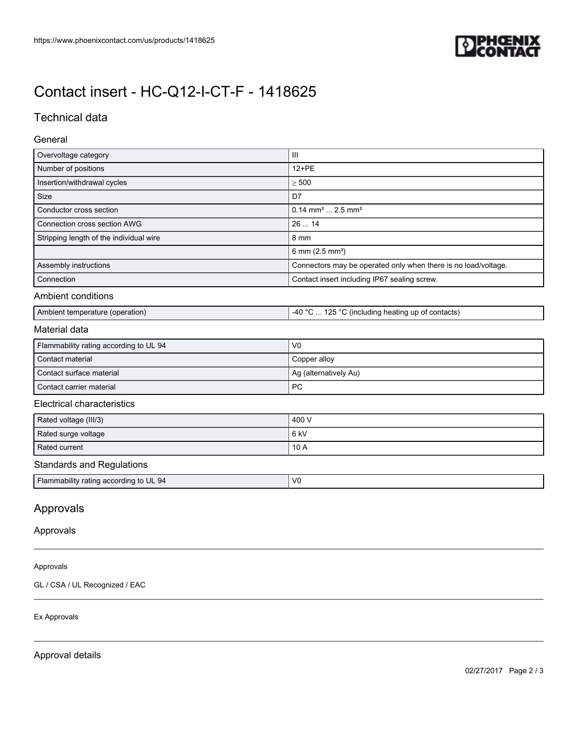

# [Contact insert - HC-Q12-I-CT-F - 1418625](https://www.phoenixcontact.com/us/products/1418625)

## Technical data

General

| Overvoltage category                    | III                                                            |
|-----------------------------------------|----------------------------------------------------------------|
| Number of positions                     | 12+PE                                                          |
| Insertion/withdrawal cycles             | $\geq 500$                                                     |
| Size                                    | D7                                                             |
| Conductor cross section                 | $0.14$ mm <sup>2</sup> 2.5 mm <sup>2</sup>                     |
| Connection cross section AWG            | 2614                                                           |
| Stripping length of the individual wire | 8 mm                                                           |
|                                         | 6 mm (2.5 mm <sup>2</sup> )                                    |
| Assembly instructions                   | Connectors may be operated only when there is no load/voltage. |
| Connection                              | Contact insert including IP67 sealing screw.                   |
| Ambient conditions                      |                                                                |
| Ambient temperature (operation)         | -40 °C  125 °C (including heating up of contacts)              |
| Material data                           |                                                                |
| Flammability rating according to UL 94  | V <sub>0</sub>                                                 |
| Contact material                        | Copper alloy                                                   |
| Contact surface material                | Ag (alternatively Au)                                          |
| Contact carrier material                | <b>PC</b>                                                      |
| <b>Electrical characteristics</b>       |                                                                |
| Rated voltage (III/3)                   | 400 V                                                          |
| Rated surge voltage                     | 6 kV                                                           |
| Rated current                           | 10 A                                                           |
| <b>Standards and Regulations</b>        |                                                                |
| Flammability rating according to UL 94  | V <sub>0</sub>                                                 |
| Approvals                               |                                                                |
| Approvals                               |                                                                |

#### Approvals

GL / CSA / UL Recognized / EAC

#### Ex Approvals

Approval details